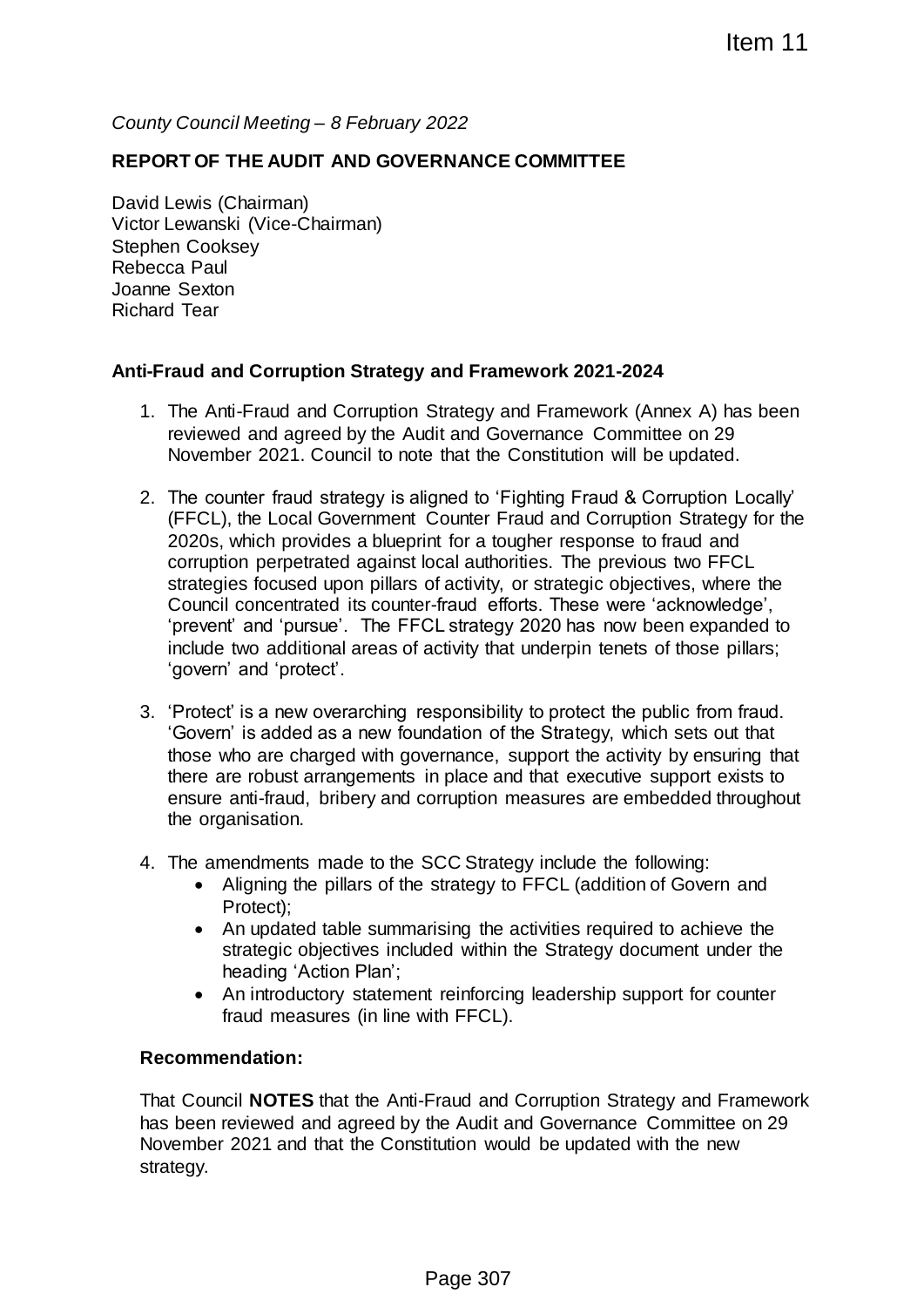*County Council Meeting – 8 February 2022*

## **REPORT OF THE AUDIT AND GOVERNANCE COMMITTEE**

David Lewis (Chairman) Victor Lewanski (Vice-Chairman) Stephen Cooksey Rebecca Paul Joanne Sexton Richard Tear

## **Anti-Fraud and Corruption Strategy and Framework 2021-2024**

- 1. The Anti-Fraud and Corruption Strategy and Framework (Annex A) has been reviewed and agreed by the Audit and Governance Committee on 29 November 2021. Council to note that the Constitution will be updated.
- 2. The counter fraud strategy is aligned to 'Fighting Fraud & Corruption Locally' (FFCL), the Local Government Counter Fraud and Corruption Strategy for the 2020s, which provides a blueprint for a tougher response to fraud and corruption perpetrated against local authorities. The previous two FFCL strategies focused upon pillars of activity, or strategic objectives, where the Council concentrated its counter-fraud efforts. These were 'acknowledge', 'prevent' and 'pursue'. The FFCL strategy 2020 has now been expanded to include two additional areas of activity that underpin tenets of those pillars; 'govern' and 'protect'. Item 11<br>
2022<br>
ERNANCE COMMITTEE<br>
ERNANCE COMMITTEE<br>
Strategy and Framework (Annex A) has been<br>
dit and Governance Committee on 29<br>
chat the Constitution will be updated.<br>
Counter Fraud and Corruption Strategy for the<br>
not
- 3. 'Protect' is a new overarching responsibility to protect the public from fraud. 'Govern' is added as a new foundation of the Strategy, which sets out that those who are charged with governance, support the activity by ensuring that there are robust arrangements in place and that executive support exists to ensure anti-fraud, bribery and corruption measures are embedded throughout the organisation.
- 4. The amendments made to the SCC Strategy include the following:
	- Aligning the pillars of the strategy to FFCL (addition of Govern and Protect);
	- An updated table summarising the activities required to achieve the strategic objectives included within the Strategy document under the heading 'Action Plan';
	- An introductory statement reinforcing leadership support for counter fraud measures (in line with FFCL).

## **Recommendation:**

That Council **NOTES** that the Anti-Fraud and Corruption Strategy and Framework has been reviewed and agreed by the Audit and Governance Committee on 29 November 2021 and that the Constitution would be updated with the new strategy.